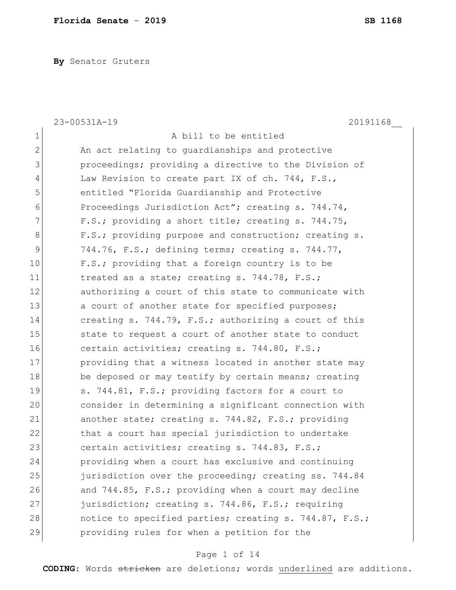**By** Senator Gruters

| $\mathbf 1$<br>A bill to be entitled<br>$\overline{2}$<br>An act relating to guardianships and protective<br>3<br>proceedings; providing a directive to the Division of<br>4<br>Law Revision to create part IX of ch. 744, F.S.,<br>5<br>entitled "Florida Guardianship and Protective<br>6<br>Proceedings Jurisdiction Act"; creating s. 744.74,<br>7<br>F.S.; providing a short title; creating s. 744.75,<br>8<br>F.S.; providing purpose and construction; creating s.<br>9<br>744.76, F.S.; defining terms; creating s. 744.77,<br>10<br>F.S.; providing that a foreign country is to be<br>11<br>treated as a state; creating s. 744.78, F.S.;<br>12<br>authorizing a court of this state to communicate with<br>13<br>a court of another state for specified purposes;<br>14<br>creating s. 744.79, F.S.; authorizing a court of this<br>15<br>state to request a court of another state to conduct<br>16<br>certain activities; creating s. 744.80, F.S.;<br>17<br>providing that a witness located in another state may<br>18<br>be deposed or may testify by certain means; creating<br>19<br>s. 744.81, F.S.; providing factors for a court to<br>20<br>consider in determining a significant connection with<br>21<br>another state; creating s. 744.82, F.S.; providing<br>22<br>that a court has special jurisdiction to undertake<br>23<br>certain activities; creating s. 744.83, F.S.;<br>24<br>providing when a court has exclusive and continuing<br>25<br>jurisdiction over the proceeding; creating ss. 744.84<br>26<br>and 744.85, F.S.; providing when a court may decline<br>27<br>jurisdiction; creating s. 744.86, F.S.; requiring<br>28<br>notice to specified parties; creating s. 744.87, F.S.;<br>29<br>providing rules for when a petition for the | 20191168<br>23-00531A-19 |
|-----------------------------------------------------------------------------------------------------------------------------------------------------------------------------------------------------------------------------------------------------------------------------------------------------------------------------------------------------------------------------------------------------------------------------------------------------------------------------------------------------------------------------------------------------------------------------------------------------------------------------------------------------------------------------------------------------------------------------------------------------------------------------------------------------------------------------------------------------------------------------------------------------------------------------------------------------------------------------------------------------------------------------------------------------------------------------------------------------------------------------------------------------------------------------------------------------------------------------------------------------------------------------------------------------------------------------------------------------------------------------------------------------------------------------------------------------------------------------------------------------------------------------------------------------------------------------------------------------------------------------------------------------------------------------------------------------------------------------------------------------------------------------------|--------------------------|
|                                                                                                                                                                                                                                                                                                                                                                                                                                                                                                                                                                                                                                                                                                                                                                                                                                                                                                                                                                                                                                                                                                                                                                                                                                                                                                                                                                                                                                                                                                                                                                                                                                                                                                                                                                                   |                          |
|                                                                                                                                                                                                                                                                                                                                                                                                                                                                                                                                                                                                                                                                                                                                                                                                                                                                                                                                                                                                                                                                                                                                                                                                                                                                                                                                                                                                                                                                                                                                                                                                                                                                                                                                                                                   |                          |
|                                                                                                                                                                                                                                                                                                                                                                                                                                                                                                                                                                                                                                                                                                                                                                                                                                                                                                                                                                                                                                                                                                                                                                                                                                                                                                                                                                                                                                                                                                                                                                                                                                                                                                                                                                                   |                          |
|                                                                                                                                                                                                                                                                                                                                                                                                                                                                                                                                                                                                                                                                                                                                                                                                                                                                                                                                                                                                                                                                                                                                                                                                                                                                                                                                                                                                                                                                                                                                                                                                                                                                                                                                                                                   |                          |
|                                                                                                                                                                                                                                                                                                                                                                                                                                                                                                                                                                                                                                                                                                                                                                                                                                                                                                                                                                                                                                                                                                                                                                                                                                                                                                                                                                                                                                                                                                                                                                                                                                                                                                                                                                                   |                          |
|                                                                                                                                                                                                                                                                                                                                                                                                                                                                                                                                                                                                                                                                                                                                                                                                                                                                                                                                                                                                                                                                                                                                                                                                                                                                                                                                                                                                                                                                                                                                                                                                                                                                                                                                                                                   |                          |
|                                                                                                                                                                                                                                                                                                                                                                                                                                                                                                                                                                                                                                                                                                                                                                                                                                                                                                                                                                                                                                                                                                                                                                                                                                                                                                                                                                                                                                                                                                                                                                                                                                                                                                                                                                                   |                          |
|                                                                                                                                                                                                                                                                                                                                                                                                                                                                                                                                                                                                                                                                                                                                                                                                                                                                                                                                                                                                                                                                                                                                                                                                                                                                                                                                                                                                                                                                                                                                                                                                                                                                                                                                                                                   |                          |
|                                                                                                                                                                                                                                                                                                                                                                                                                                                                                                                                                                                                                                                                                                                                                                                                                                                                                                                                                                                                                                                                                                                                                                                                                                                                                                                                                                                                                                                                                                                                                                                                                                                                                                                                                                                   |                          |
|                                                                                                                                                                                                                                                                                                                                                                                                                                                                                                                                                                                                                                                                                                                                                                                                                                                                                                                                                                                                                                                                                                                                                                                                                                                                                                                                                                                                                                                                                                                                                                                                                                                                                                                                                                                   |                          |
|                                                                                                                                                                                                                                                                                                                                                                                                                                                                                                                                                                                                                                                                                                                                                                                                                                                                                                                                                                                                                                                                                                                                                                                                                                                                                                                                                                                                                                                                                                                                                                                                                                                                                                                                                                                   |                          |
|                                                                                                                                                                                                                                                                                                                                                                                                                                                                                                                                                                                                                                                                                                                                                                                                                                                                                                                                                                                                                                                                                                                                                                                                                                                                                                                                                                                                                                                                                                                                                                                                                                                                                                                                                                                   |                          |
|                                                                                                                                                                                                                                                                                                                                                                                                                                                                                                                                                                                                                                                                                                                                                                                                                                                                                                                                                                                                                                                                                                                                                                                                                                                                                                                                                                                                                                                                                                                                                                                                                                                                                                                                                                                   |                          |
|                                                                                                                                                                                                                                                                                                                                                                                                                                                                                                                                                                                                                                                                                                                                                                                                                                                                                                                                                                                                                                                                                                                                                                                                                                                                                                                                                                                                                                                                                                                                                                                                                                                                                                                                                                                   |                          |
|                                                                                                                                                                                                                                                                                                                                                                                                                                                                                                                                                                                                                                                                                                                                                                                                                                                                                                                                                                                                                                                                                                                                                                                                                                                                                                                                                                                                                                                                                                                                                                                                                                                                                                                                                                                   |                          |
|                                                                                                                                                                                                                                                                                                                                                                                                                                                                                                                                                                                                                                                                                                                                                                                                                                                                                                                                                                                                                                                                                                                                                                                                                                                                                                                                                                                                                                                                                                                                                                                                                                                                                                                                                                                   |                          |
|                                                                                                                                                                                                                                                                                                                                                                                                                                                                                                                                                                                                                                                                                                                                                                                                                                                                                                                                                                                                                                                                                                                                                                                                                                                                                                                                                                                                                                                                                                                                                                                                                                                                                                                                                                                   |                          |
|                                                                                                                                                                                                                                                                                                                                                                                                                                                                                                                                                                                                                                                                                                                                                                                                                                                                                                                                                                                                                                                                                                                                                                                                                                                                                                                                                                                                                                                                                                                                                                                                                                                                                                                                                                                   |                          |
|                                                                                                                                                                                                                                                                                                                                                                                                                                                                                                                                                                                                                                                                                                                                                                                                                                                                                                                                                                                                                                                                                                                                                                                                                                                                                                                                                                                                                                                                                                                                                                                                                                                                                                                                                                                   |                          |
|                                                                                                                                                                                                                                                                                                                                                                                                                                                                                                                                                                                                                                                                                                                                                                                                                                                                                                                                                                                                                                                                                                                                                                                                                                                                                                                                                                                                                                                                                                                                                                                                                                                                                                                                                                                   |                          |
|                                                                                                                                                                                                                                                                                                                                                                                                                                                                                                                                                                                                                                                                                                                                                                                                                                                                                                                                                                                                                                                                                                                                                                                                                                                                                                                                                                                                                                                                                                                                                                                                                                                                                                                                                                                   |                          |
|                                                                                                                                                                                                                                                                                                                                                                                                                                                                                                                                                                                                                                                                                                                                                                                                                                                                                                                                                                                                                                                                                                                                                                                                                                                                                                                                                                                                                                                                                                                                                                                                                                                                                                                                                                                   |                          |
|                                                                                                                                                                                                                                                                                                                                                                                                                                                                                                                                                                                                                                                                                                                                                                                                                                                                                                                                                                                                                                                                                                                                                                                                                                                                                                                                                                                                                                                                                                                                                                                                                                                                                                                                                                                   |                          |
|                                                                                                                                                                                                                                                                                                                                                                                                                                                                                                                                                                                                                                                                                                                                                                                                                                                                                                                                                                                                                                                                                                                                                                                                                                                                                                                                                                                                                                                                                                                                                                                                                                                                                                                                                                                   |                          |
|                                                                                                                                                                                                                                                                                                                                                                                                                                                                                                                                                                                                                                                                                                                                                                                                                                                                                                                                                                                                                                                                                                                                                                                                                                                                                                                                                                                                                                                                                                                                                                                                                                                                                                                                                                                   |                          |
|                                                                                                                                                                                                                                                                                                                                                                                                                                                                                                                                                                                                                                                                                                                                                                                                                                                                                                                                                                                                                                                                                                                                                                                                                                                                                                                                                                                                                                                                                                                                                                                                                                                                                                                                                                                   |                          |
|                                                                                                                                                                                                                                                                                                                                                                                                                                                                                                                                                                                                                                                                                                                                                                                                                                                                                                                                                                                                                                                                                                                                                                                                                                                                                                                                                                                                                                                                                                                                                                                                                                                                                                                                                                                   |                          |
|                                                                                                                                                                                                                                                                                                                                                                                                                                                                                                                                                                                                                                                                                                                                                                                                                                                                                                                                                                                                                                                                                                                                                                                                                                                                                                                                                                                                                                                                                                                                                                                                                                                                                                                                                                                   |                          |
|                                                                                                                                                                                                                                                                                                                                                                                                                                                                                                                                                                                                                                                                                                                                                                                                                                                                                                                                                                                                                                                                                                                                                                                                                                                                                                                                                                                                                                                                                                                                                                                                                                                                                                                                                                                   |                          |

# Page 1 of 14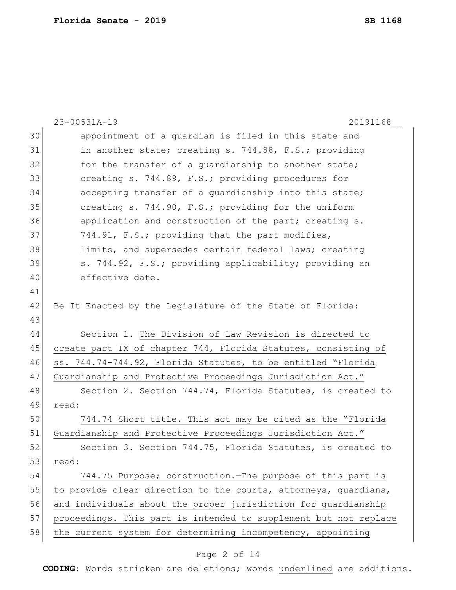|    | 23-00531A-19<br>20191168                                         |
|----|------------------------------------------------------------------|
| 30 | appointment of a guardian is filed in this state and             |
| 31 | in another state; creating s. 744.88, F.S.; providing            |
| 32 | for the transfer of a guardianship to another state;             |
| 33 | creating s. 744.89, F.S.; providing procedures for               |
| 34 | accepting transfer of a quardianship into this state;            |
| 35 | creating s. 744.90, F.S.; providing for the uniform              |
| 36 | application and construction of the part; creating s.            |
| 37 | 744.91, F.S.; providing that the part modifies,                  |
| 38 | limits, and supersedes certain federal laws; creating            |
| 39 | s. 744.92, F.S.; providing applicability; providing an           |
| 40 | effective date.                                                  |
| 41 |                                                                  |
| 42 | Be It Enacted by the Legislature of the State of Florida:        |
| 43 |                                                                  |
| 44 | Section 1. The Division of Law Revision is directed to           |
| 45 | create part IX of chapter 744, Florida Statutes, consisting of   |
| 46 | ss. 744.74-744.92, Florida Statutes, to be entitled "Florida     |
| 47 | Guardianship and Protective Proceedings Jurisdiction Act."       |
| 48 | Section 2. Section 744.74, Florida Statutes, is created to       |
| 49 | read:                                                            |
| 50 | 744.74 Short title. This act may be cited as the "Florida        |
| 51 | Guardianship and Protective Proceedings Jurisdiction Act."       |
| 52 | Section 3. Section 744.75, Florida Statutes, is created to       |
| 53 | read:                                                            |
| 54 | 744.75 Purpose; construction. The purpose of this part is        |
| 55 | to provide clear direction to the courts, attorneys, guardians,  |
| 56 | and individuals about the proper jurisdiction for quardianship   |
| 57 | proceedings. This part is intended to supplement but not replace |
| 58 | the current system for determining incompetency, appointing      |
|    |                                                                  |

# Page 2 of 14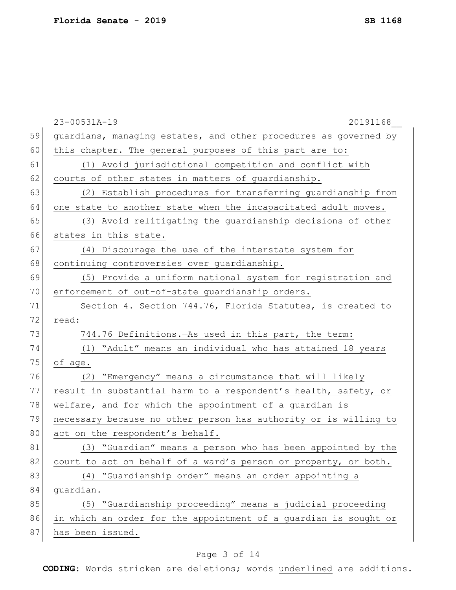|    | 23-00531A-19<br>20191168                                         |
|----|------------------------------------------------------------------|
| 59 | guardians, managing estates, and other procedures as governed by |
| 60 | this chapter. The general purposes of this part are to:          |
| 61 | (1) Avoid jurisdictional competition and conflict with           |
| 62 | courts of other states in matters of guardianship.               |
| 63 | (2) Establish procedures for transferring guardianship from      |
| 64 | one state to another state when the incapacitated adult moves.   |
| 65 | (3) Avoid relitigating the guardianship decisions of other       |
| 66 | states in this state.                                            |
| 67 | (4) Discourage the use of the interstate system for              |
| 68 | continuing controversies over guardianship.                      |
| 69 | (5) Provide a uniform national system for registration and       |
| 70 | enforcement of out-of-state quardianship orders.                 |
| 71 | Section 4. Section 744.76, Florida Statutes, is created to       |
| 72 | read:                                                            |
| 73 | 744.76 Definitions. - As used in this part, the term:            |
| 74 | (1) "Adult" means an individual who has attained 18 years        |
| 75 | of age.                                                          |
| 76 | "Emergency" means a circumstance that will likely<br>(2)         |
| 77 | result in substantial harm to a respondent's health, safety, or  |
| 78 | welfare, and for which the appointment of a guardian is          |
| 79 | necessary because no other person has authority or is willing to |
| 80 | act on the respondent's behalf.                                  |
| 81 | (3) "Guardian" means a person who has been appointed by the      |
| 82 | court to act on behalf of a ward's person or property, or both.  |
| 83 | (4) "Guardianship order" means an order appointing a             |
| 84 | quardian.                                                        |
| 85 | (5) "Guardianship proceeding" means a judicial proceeding        |
| 86 | in which an order for the appointment of a guardian is sought or |
| 87 | has been issued.                                                 |

# Page 3 of 14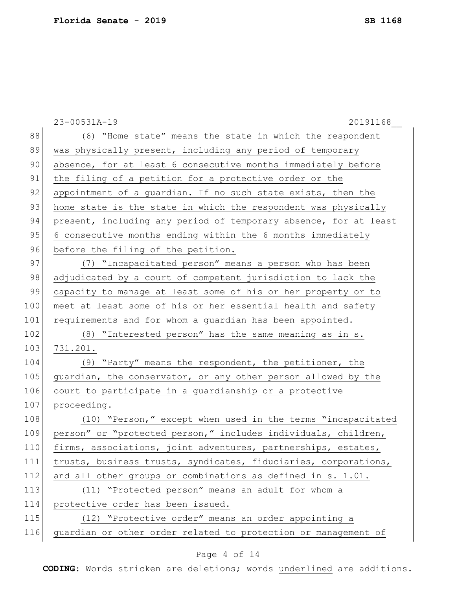|     | 23-00531A-19<br>20191168                                         |
|-----|------------------------------------------------------------------|
| 88  | (6) "Home state" means the state in which the respondent         |
| 89  | was physically present, including any period of temporary        |
| 90  | absence, for at least 6 consecutive months immediately before    |
| 91  | the filing of a petition for a protective order or the           |
| 92  | appointment of a quardian. If no such state exists, then the     |
| 93  | home state is the state in which the respondent was physically   |
| 94  | present, including any period of temporary absence, for at least |
| 95  | 6 consecutive months ending within the 6 months immediately      |
| 96  | before the filing of the petition.                               |
| 97  | (7) "Incapacitated person" means a person who has been           |
| 98  | adjudicated by a court of competent jurisdiction to lack the     |
| 99  | capacity to manage at least some of his or her property or to    |
| 100 | meet at least some of his or her essential health and safety     |
| 101 | requirements and for whom a guardian has been appointed.         |
| 102 | (8) "Interested person" has the same meaning as in s.            |
| 103 | 731.201.                                                         |
| 104 | (9) "Party" means the respondent, the petitioner, the            |
| 105 | guardian, the conservator, or any other person allowed by the    |
| 106 | court to participate in a guardianship or a protective           |
| 107 | proceeding.                                                      |
| 108 | (10) "Person," except when used in the terms "incapacitated      |
| 109 | person" or "protected person," includes individuals, children,   |
| 110 | firms, associations, joint adventures, partnerships, estates,    |
| 111 | trusts, business trusts, syndicates, fiduciaries, corporations,  |
| 112 | and all other groups or combinations as defined in s. 1.01.      |
| 113 | (11) "Protected person" means an adult for whom a                |
| 114 | protective order has been issued.                                |
| 115 | (12) "Protective order" means an order appointing a              |
| 116 | guardian or other order related to protection or management of   |

# Page 4 of 14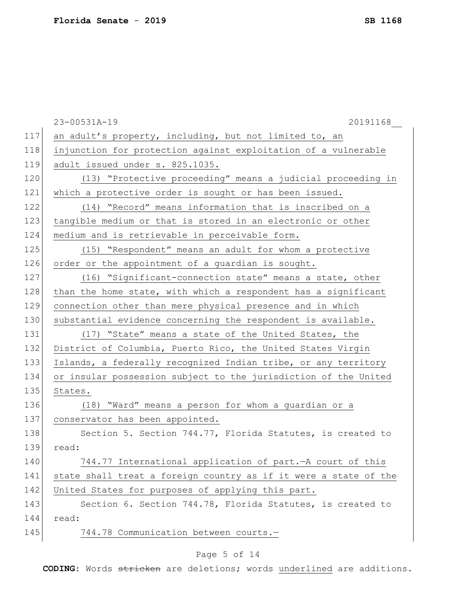|     | 23-00531A-19<br>20191168                                         |
|-----|------------------------------------------------------------------|
| 117 | an adult's property, including, but not limited to, an           |
| 118 | injunction for protection against exploitation of a vulnerable   |
| 119 | adult issued under s. 825.1035.                                  |
| 120 | (13) "Protective proceeding" means a judicial proceeding in      |
| 121 | which a protective order is sought or has been issued.           |
| 122 | (14) "Record" means information that is inscribed on a           |
| 123 | tangible medium or that is stored in an electronic or other      |
| 124 | medium and is retrievable in perceivable form.                   |
| 125 | (15) "Respondent" means an adult for whom a protective           |
| 126 | order or the appointment of a guardian is sought.                |
| 127 | (16) "Significant-connection state" means a state, other         |
| 128 | than the home state, with which a respondent has a significant   |
| 129 | connection other than mere physical presence and in which        |
| 130 | substantial evidence concerning the respondent is available.     |
| 131 | (17) "State" means a state of the United States, the             |
| 132 | District of Columbia, Puerto Rico, the United States Virgin      |
| 133 | Islands, a federally recognized Indian tribe, or any territory   |
| 134 | or insular possession subject to the jurisdiction of the United  |
| 135 | States.                                                          |
| 136 | (18) "Ward" means a person for whom a guardian or a              |
| 137 | conservator has been appointed.                                  |
| 138 | Section 5. Section 744.77, Florida Statutes, is created to       |
| 139 | read:                                                            |
| 140 | 744.77 International application of part. - A court of this      |
| 141 | state shall treat a foreign country as if it were a state of the |
| 142 | United States for purposes of applying this part.                |
| 143 | Section 6. Section 744.78, Florida Statutes, is created to       |
| 144 | read:                                                            |
| 145 | 744.78 Communication between courts.-                            |

# Page 5 of 14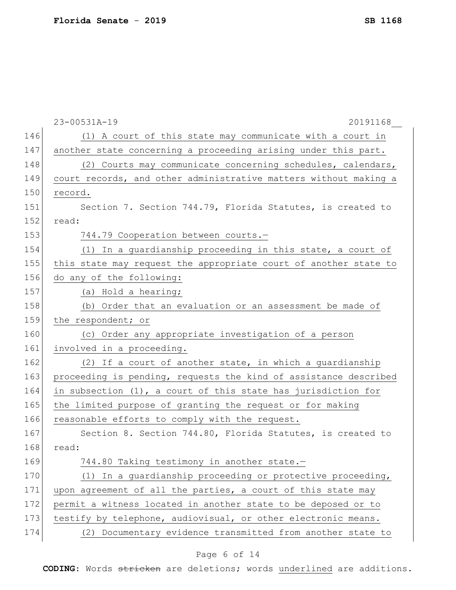|     | 23-00531A-19<br>20191168                                         |
|-----|------------------------------------------------------------------|
| 146 | (1) A court of this state may communicate with a court in        |
| 147 | another state concerning a proceeding arising under this part.   |
| 148 | (2) Courts may communicate concerning schedules, calendars,      |
| 149 | court records, and other administrative matters without making a |
| 150 | record.                                                          |
| 151 | Section 7. Section 744.79, Florida Statutes, is created to       |
| 152 | read:                                                            |
| 153 | 744.79 Cooperation between courts.-                              |
| 154 | (1) In a guardianship proceeding in this state, a court of       |
| 155 | this state may request the appropriate court of another state to |
| 156 | do any of the following:                                         |
| 157 | (a) Hold a hearing;                                              |
| 158 | (b) Order that an evaluation or an assessment be made of         |
| 159 | the respondent; or                                               |
| 160 | (c) Order any appropriate investigation of a person              |
| 161 | involved in a proceeding.                                        |
| 162 | (2) If a court of another state, in which a guardianship         |
| 163 | proceeding is pending, requests the kind of assistance described |
| 164 | in subsection (1), a court of this state has jurisdiction for    |
| 165 | the limited purpose of granting the request or for making        |
| 166 | reasonable efforts to comply with the request.                   |
| 167 | Section 8. Section 744.80, Florida Statutes, is created to       |
| 168 | read:                                                            |
| 169 | 744.80 Taking testimony in another state.-                       |
| 170 | (1) In a guardianship proceeding or protective proceeding,       |
| 171 | upon agreement of all the parties, a court of this state may     |
| 172 | permit a witness located in another state to be deposed or to    |
| 173 | testify by telephone, audiovisual, or other electronic means.    |
| 174 | (2) Documentary evidence transmitted from another state to       |
|     |                                                                  |

# Page 6 of 14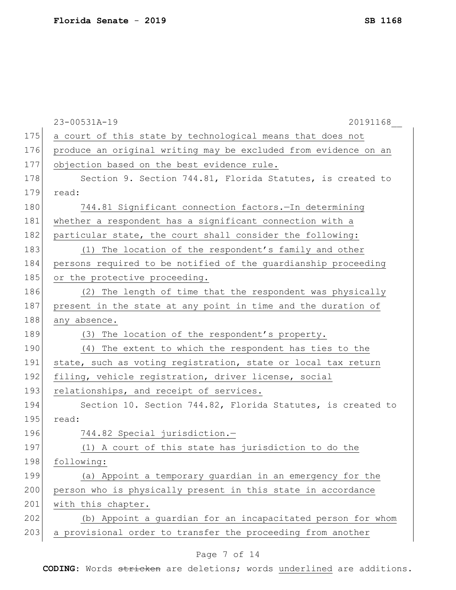|     | 23-00531A-19<br>20191168                                        |
|-----|-----------------------------------------------------------------|
| 175 | a court of this state by technological means that does not      |
| 176 | produce an original writing may be excluded from evidence on an |
| 177 | objection based on the best evidence rule.                      |
| 178 | Section 9. Section 744.81, Florida Statutes, is created to      |
| 179 | read:                                                           |
| 180 | 744.81 Significant connection factors. In determining           |
| 181 | whether a respondent has a significant connection with a        |
| 182 | particular state, the court shall consider the following:       |
| 183 | (1) The location of the respondent's family and other           |
| 184 | persons required to be notified of the guardianship proceeding  |
| 185 | or the protective proceeding.                                   |
| 186 | (2) The length of time that the respondent was physically       |
| 187 | present in the state at any point in time and the duration of   |
| 188 | any absence.                                                    |
| 189 | The location of the respondent's property.<br>(3)               |
| 190 | (4) The extent to which the respondent has ties to the          |
| 191 | state, such as voting registration, state or local tax return   |
| 192 | filing, vehicle registration, driver license, social            |
| 193 | relationships, and receipt of services.                         |
| 194 | Section 10. Section 744.82, Florida Statutes, is created to     |
| 195 | read:                                                           |
| 196 | 744.82 Special jurisdiction.-                                   |
| 197 | (1) A court of this state has jurisdiction to do the            |
| 198 | following:                                                      |
| 199 | (a) Appoint a temporary guardian in an emergency for the        |
| 200 | person who is physically present in this state in accordance    |
| 201 | with this chapter.                                              |
| 202 | (b) Appoint a guardian for an incapacitated person for whom     |
| 203 | a provisional order to transfer the proceeding from another     |

# Page 7 of 14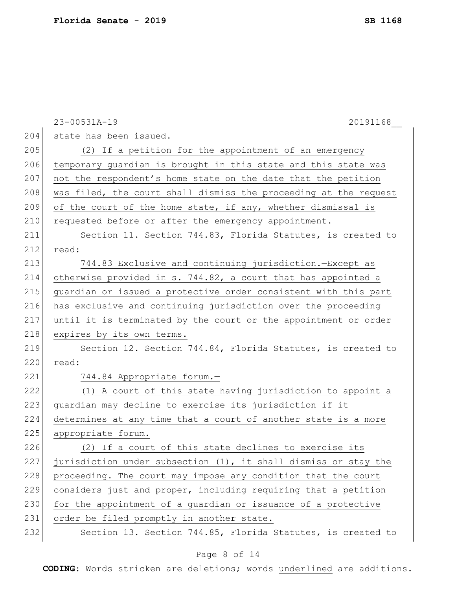|     | 23-00531A-19<br>20191168                                         |
|-----|------------------------------------------------------------------|
| 204 | state has been issued.                                           |
| 205 | (2) If a petition for the appointment of an emergency            |
| 206 | temporary guardian is brought in this state and this state was   |
| 207 | not the respondent's home state on the date that the petition    |
| 208 | was filed, the court shall dismiss the proceeding at the request |
| 209 | of the court of the home state, if any, whether dismissal is     |
| 210 | requested before or after the emergency appointment.             |
| 211 | Section 11. Section 744.83, Florida Statutes, is created to      |
| 212 | read:                                                            |
| 213 | 744.83 Exclusive and continuing jurisdiction. - Except as        |
| 214 | otherwise provided in s. 744.82, a court that has appointed a    |
| 215 | guardian or issued a protective order consistent with this part  |
| 216 | has exclusive and continuing jurisdiction over the proceeding    |
| 217 | until it is terminated by the court or the appointment or order  |
| 218 | expires by its own terms.                                        |
| 219 | Section 12. Section 744.84, Florida Statutes, is created to      |
| 220 | read:                                                            |
| 221 | 744.84 Appropriate forum.-                                       |
| 222 | (1) A court of this state having jurisdiction to appoint a       |
| 223 | guardian may decline to exercise its jurisdiction if it          |
| 224 | determines at any time that a court of another state is a more   |
| 225 | appropriate forum.                                               |
| 226 | (2) If a court of this state declines to exercise its            |
| 227 | jurisdiction under subsection (1), it shall dismiss or stay the  |
| 228 | proceeding. The court may impose any condition that the court    |
| 229 | considers just and proper, including requiring that a petition   |
| 230 | for the appointment of a guardian or issuance of a protective    |
| 231 | order be filed promptly in another state.                        |
| 232 | Section 13. Section 744.85, Florida Statutes, is created to      |

# Page 8 of 14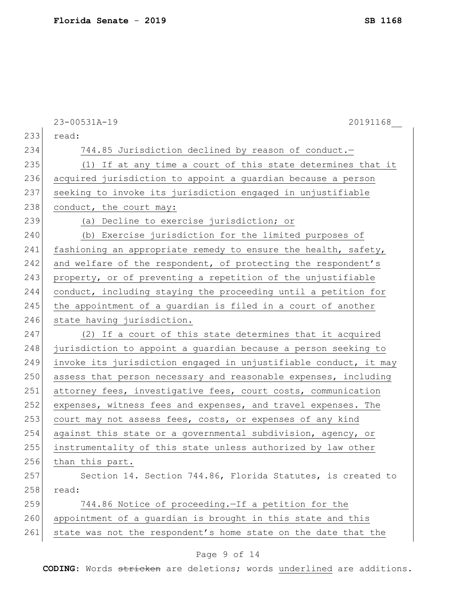|     | 23-00531A-19<br>20191168                                         |
|-----|------------------------------------------------------------------|
| 233 | read:                                                            |
| 234 | 744.85 Jurisdiction declined by reason of conduct.-              |
| 235 | (1) If at any time a court of this state determines that it      |
| 236 | acquired jurisdiction to appoint a guardian because a person     |
| 237 | seeking to invoke its jurisdiction engaged in unjustifiable      |
| 238 | conduct, the court may:                                          |
| 239 | (a) Decline to exercise jurisdiction; or                         |
| 240 | (b) Exercise jurisdiction for the limited purposes of            |
| 241 | fashioning an appropriate remedy to ensure the health, safety,   |
| 242 | and welfare of the respondent, of protecting the respondent's    |
| 243 | property, or of preventing a repetition of the unjustifiable     |
| 244 | conduct, including staying the proceeding until a petition for   |
| 245 | the appointment of a guardian is filed in a court of another     |
| 246 | state having jurisdiction.                                       |
| 247 | (2) If a court of this state determines that it acquired         |
| 248 | jurisdiction to appoint a guardian because a person seeking to   |
| 249 | invoke its jurisdiction engaged in unjustifiable conduct, it may |
| 250 | assess that person necessary and reasonable expenses, including  |
| 251 | attorney fees, investigative fees, court costs, communication    |
| 252 | expenses, witness fees and expenses, and travel expenses. The    |
| 253 | court may not assess fees, costs, or expenses of any kind        |
| 254 | against this state or a governmental subdivision, agency, or     |
| 255 | instrumentality of this state unless authorized by law other     |
| 256 | than this part.                                                  |
| 257 | Section 14. Section 744.86, Florida Statutes, is created to      |
| 258 | read:                                                            |
| 259 | 744.86 Notice of proceeding. - If a petition for the             |
| 260 | appointment of a guardian is brought in this state and this      |
| 261 | state was not the respondent's home state on the date that the   |
|     | Page 9 of 14                                                     |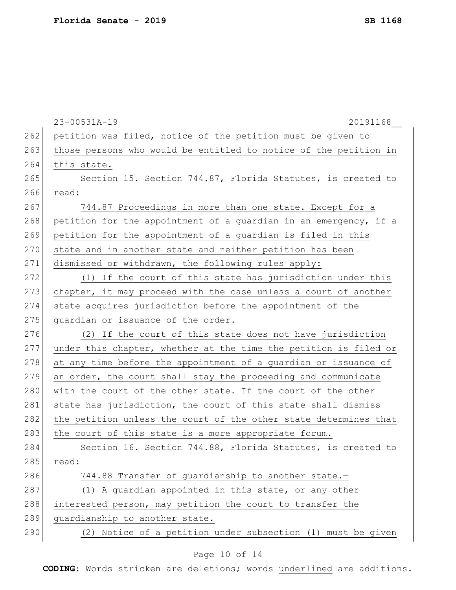|     | 23-00531A-19<br>20191168                                         |
|-----|------------------------------------------------------------------|
| 262 | petition was filed, notice of the petition must be given to      |
| 263 | those persons who would be entitled to notice of the petition in |
| 264 | this state.                                                      |
| 265 | Section 15. Section 744.87, Florida Statutes, is created to      |
| 266 | read:                                                            |
| 267 | 744.87 Proceedings in more than one state.-Except for a          |
| 268 | petition for the appointment of a guardian in an emergency, if a |
| 269 | petition for the appointment of a guardian is filed in this      |
| 270 | state and in another state and neither petition has been         |
| 271 | dismissed or withdrawn, the following rules apply:               |
| 272 | (1) If the court of this state has jurisdiction under this       |
| 273 | chapter, it may proceed with the case unless a court of another  |
| 274 | state acquires jurisdiction before the appointment of the        |
| 275 | guardian or issuance of the order.                               |
| 276 | (2) If the court of this state does not have jurisdiction        |
| 277 | under this chapter, whether at the time the petition is filed or |
| 278 | at any time before the appointment of a guardian or issuance of  |
| 279 | an order, the court shall stay the proceeding and communicate    |
| 280 | with the court of the other state. If the court of the other     |
| 281 | state has jurisdiction, the court of this state shall dismiss    |
| 282 | the petition unless the court of the other state determines that |
| 283 | the court of this state is a more appropriate forum.             |
| 284 | Section 16. Section 744.88, Florida Statutes, is created to      |
| 285 | read:                                                            |
| 286 | 744.88 Transfer of quardianship to another state.-               |
| 287 | (1) A guardian appointed in this state, or any other             |
| 288 | interested person, may petition the court to transfer the        |
| 289 | quardianship to another state.                                   |
| 290 | Notice of a petition under subsection (1) must be given<br>(2)   |
|     |                                                                  |

# Page 10 of 14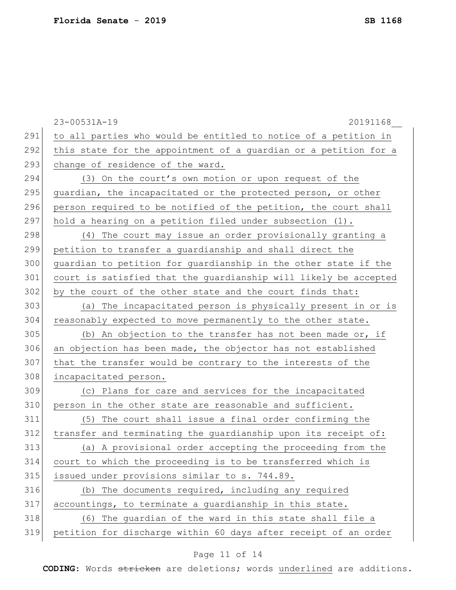|     | 23-00531A-19<br>20191168                                         |
|-----|------------------------------------------------------------------|
| 291 | to all parties who would be entitled to notice of a petition in  |
| 292 | this state for the appointment of a guardian or a petition for a |
| 293 | change of residence of the ward.                                 |
| 294 | (3) On the court's own motion or upon request of the             |
| 295 | quardian, the incapacitated or the protected person, or other    |
| 296 | person required to be notified of the petition, the court shall  |
| 297 | hold a hearing on a petition filed under subsection (1).         |
| 298 | (4) The court may issue an order provisionally granting a        |
| 299 | petition to transfer a guardianship and shall direct the         |
| 300 | guardian to petition for guardianship in the other state if the  |
| 301 | court is satisfied that the quardianship will likely be accepted |
| 302 | by the court of the other state and the court finds that:        |
| 303 | (a) The incapacitated person is physically present in or is      |
| 304 | reasonably expected to move permanently to the other state.      |
| 305 | (b) An objection to the transfer has not been made or, if        |
| 306 | an objection has been made, the objector has not established     |
| 307 | that the transfer would be contrary to the interests of the      |
| 308 | incapacitated person.                                            |
| 309 | (c) Plans for care and services for the incapacitated            |
| 310 | person in the other state are reasonable and sufficient.         |
| 311 | (5) The court shall issue a final order confirming the           |
| 312 | transfer and terminating the quardianship upon its receipt of:   |
| 313 | (a) A provisional order accepting the proceeding from the        |
| 314 | court to which the proceeding is to be transferred which is      |
| 315 | issued under provisions similar to s. 744.89.                    |
| 316 | (b) The documents required, including any required               |
| 317 | accountings, to terminate a guardianship in this state.          |
| 318 | (6) The guardian of the ward in this state shall file a          |
| 319 | petition for discharge within 60 days after receipt of an order  |

# Page 11 of 14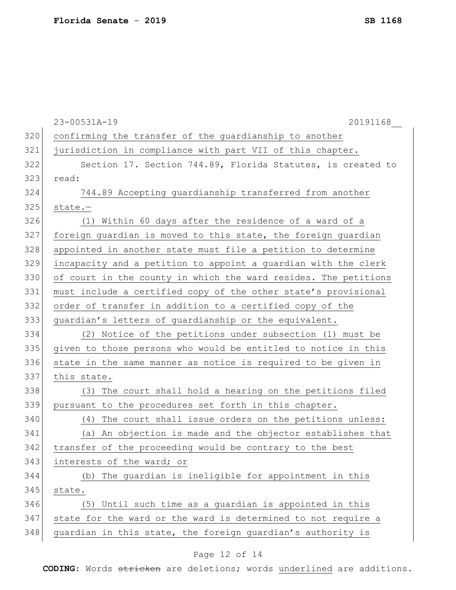|     | 23-00531A-19<br>20191168                                        |
|-----|-----------------------------------------------------------------|
| 320 | confirming the transfer of the guardianship to another          |
| 321 | jurisdiction in compliance with part VII of this chapter.       |
| 322 | Section 17. Section 744.89, Florida Statutes, is created to     |
| 323 | read:                                                           |
| 324 | 744.89 Accepting guardianship transferred from another          |
| 325 | $state. -$                                                      |
| 326 | (1) Within 60 days after the residence of a ward of a           |
| 327 | foreign guardian is moved to this state, the foreign guardian   |
| 328 | appointed in another state must file a petition to determine    |
| 329 | incapacity and a petition to appoint a guardian with the clerk  |
| 330 | of court in the county in which the ward resides. The petitions |
| 331 | must include a certified copy of the other state's provisional  |
| 332 | order of transfer in addition to a certified copy of the        |
| 333 | guardian's letters of guardianship or the equivalent.           |
| 334 | (2) Notice of the petitions under subsection (1) must be        |
| 335 | given to those persons who would be entitled to notice in this  |
| 336 | state in the same manner as notice is required to be given in   |
| 337 | this state.                                                     |
| 338 | (3) The court shall hold a hearing on the petitions filed       |
| 339 | pursuant to the procedures set forth in this chapter.           |
| 340 | The court shall issue orders on the petitions unless:<br>(4)    |
| 341 | (a) An objection is made and the objector establishes that      |
| 342 | transfer of the proceeding would be contrary to the best        |
| 343 | interests of the ward; or                                       |
| 344 | The guardian is ineligible for appointment in this<br>(b)       |
| 345 | state.                                                          |
| 346 | Until such time as a guardian is appointed in this<br>(5)       |
| 347 | state for the ward or the ward is determined to not require a   |
| 348 | guardian in this state, the foreign guardian's authority is     |
|     |                                                                 |

# Page 12 of 14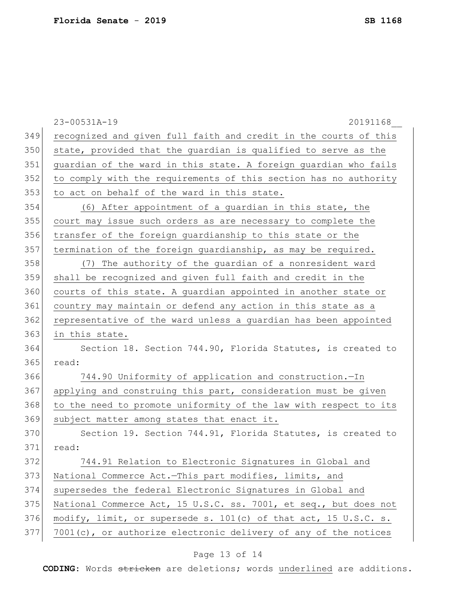|     | 23-00531A-19<br>20191168                                         |
|-----|------------------------------------------------------------------|
| 349 | recognized and given full faith and credit in the courts of this |
| 350 | state, provided that the guardian is qualified to serve as the   |
| 351 | guardian of the ward in this state. A foreign guardian who fails |
| 352 | to comply with the requirements of this section has no authority |
| 353 | to act on behalf of the ward in this state.                      |
| 354 | (6) After appointment of a guardian in this state, the           |
| 355 | court may issue such orders as are necessary to complete the     |
| 356 | transfer of the foreign guardianship to this state or the        |
| 357 | termination of the foreign guardianship, as may be required.     |
| 358 | (7) The authority of the guardian of a nonresident ward          |
| 359 | shall be recognized and given full faith and credit in the       |
| 360 | courts of this state. A guardian appointed in another state or   |
| 361 | country may maintain or defend any action in this state as a     |
| 362 | representative of the ward unless a guardian has been appointed  |
| 363 | in this state.                                                   |
| 364 | Section 18. Section 744.90, Florida Statutes, is created to      |
| 365 | read:                                                            |
| 366 | 744.90 Uniformity of application and construction.-In            |
| 367 | applying and construing this part, consideration must be given   |
| 368 | to the need to promote uniformity of the law with respect to its |
| 369 | subject matter among states that enact it.                       |
| 370 | Section 19. Section 744.91, Florida Statutes, is created to      |
| 371 | read:                                                            |
| 372 | 744.91 Relation to Electronic Signatures in Global and           |
| 373 | National Commerce Act.-This part modifies, limits, and           |
| 374 | supersedes the federal Electronic Signatures in Global and       |
| 375 | National Commerce Act, 15 U.S.C. ss. 7001, et seq., but does not |
| 376 | modify, limit, or supersede s. 101(c) of that act, 15 U.S.C. s.  |
| 377 | 7001(c), or authorize electronic delivery of any of the notices  |

# Page 13 of 14